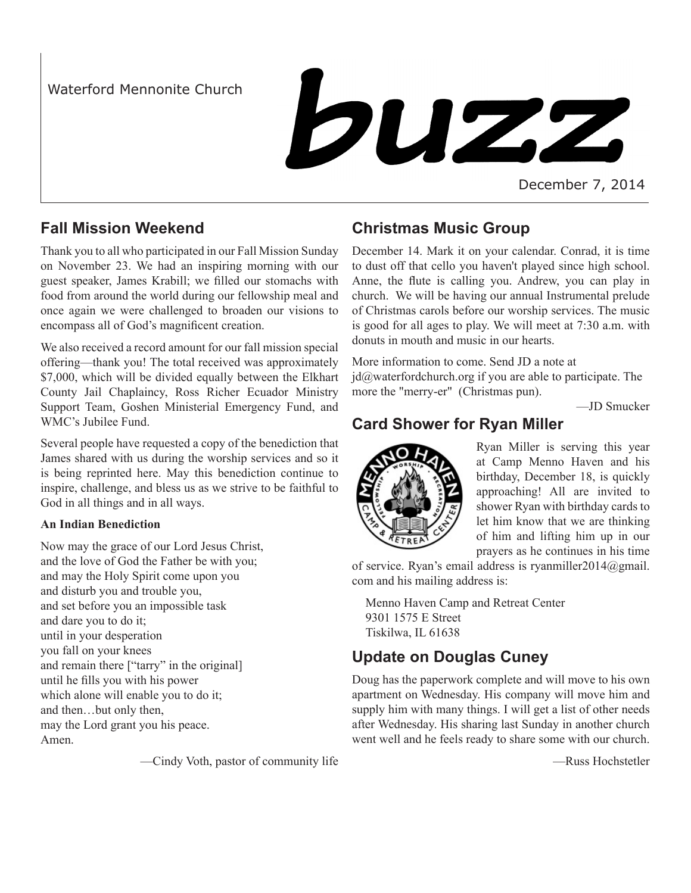Waterford Mennonite Church

# buzz

December 7, 2014

# **Fall Mission Weekend**

Thank you to all who participated in our Fall Mission Sunday on November 23. We had an inspiring morning with our guest speaker, James Krabill; we filled our stomachs with food from around the world during our fellowship meal and once again we were challenged to broaden our visions to encompass all of God's magnificent creation.

We also received a record amount for our fall mission special offering—thank you! The total received was approximately \$7,000, which will be divided equally between the Elkhart County Jail Chaplaincy, Ross Richer Ecuador Ministry Support Team, Goshen Ministerial Emergency Fund, and WMC's Jubilee Fund.

Several people have requested a copy of the benediction that James shared with us during the worship services and so it is being reprinted here. May this benediction continue to inspire, challenge, and bless us as we strive to be faithful to God in all things and in all ways.

## **An Indian Benediction**

Now may the grace of our Lord Jesus Christ, and the love of God the Father be with you; and may the Holy Spirit come upon you and disturb you and trouble you, and set before you an impossible task and dare you to do it; until in your desperation you fall on your knees and remain there ["tarry" in the original] until he fills you with his power which alone will enable you to do it; and then…but only then, may the Lord grant you his peace. Amen.

—Cindy Voth, pastor of community life

# **Christmas Music Group**

December 14. Mark it on your calendar. Conrad, it is time to dust off that cello you haven't played since high school. Anne, the flute is calling you. Andrew, you can play in church. We will be having our annual Instrumental prelude of Christmas carols before our worship services. The music is good for all ages to play. We will meet at 7:30 a.m. with donuts in mouth and music in our hearts.

More information to come. Send JD a note at  $id@$ waterfordchurch.org if you are able to participate. The more the "merry-er" (Christmas pun).

—JD Smucker

# **Card Shower for Ryan Miller**



Ryan Miller is serving this year at Camp Menno Haven and his birthday, December 18, is quickly approaching! All are invited to shower Ryan with birthday cards to let him know that we are thinking of him and lifting him up in our prayers as he continues in his time

of service. Ryan's email address is ryanmiller2014@gmail. com and his mailing address is:

Menno Haven Camp and Retreat Center 9301 1575 E Street Tiskilwa, IL 61638

# **Update on Douglas Cuney**

Doug has the paperwork complete and will move to his own apartment on Wednesday. His company will move him and supply him with many things. I will get a list of other needs after Wednesday. His sharing last Sunday in another church went well and he feels ready to share some with our church.

—Russ Hochstetler